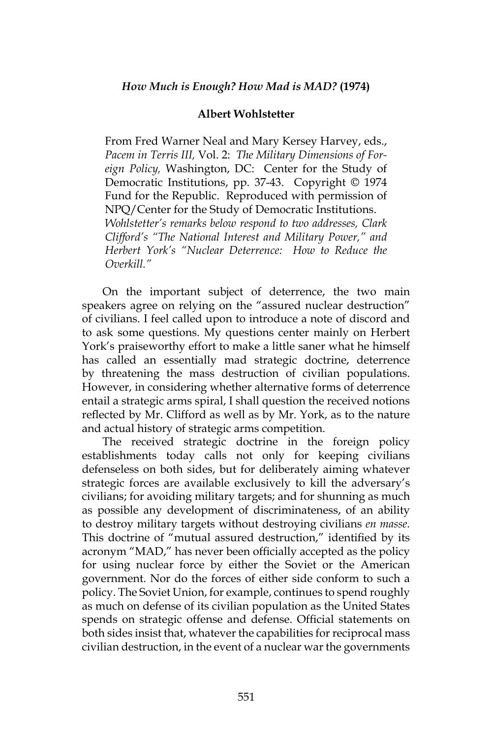## **Albert Wohlstetter**

From Fred Warner Neal and Mary Kersey Harvey, eds., *Pacem in Terris III,* Vol. 2: *The Military Dimensions of Foreign Policy,* Washington, DC: Center for the Study of Democratic Institutions, pp. 37-43. Copyright © 1974 Fund for the Republic. Reproduced with permission of NPQ/Center for the Study of Democratic Institutions. *Wohlstetter's remarks below respond to two addresses, Clark Clifford's "The National Interest and Military Power," and Herbert York's "Nuclear Deterrence: How to Reduce the Overkill."*

On the important subject of deterrence, the two main speakers agree on relying on the "assured nuclear destruction" of civilians. I feel called upon to introduce a note of discord and to ask some questions. My questions center mainly on Herbert York's praiseworthy effort to make a little saner what he himself has called an essentially mad strategic doctrine, deterrence by threatening the mass destruction of civilian populations. However, in considering whether alternative forms of deterrence entail a strategic arms spiral, I shall question the received notions reflected by Mr. Clifford as well as by Mr. York, as to the nature and actual history of strategic arms competition.

The received strategic doctrine in the foreign policy establishments today calls not only for keeping civilians defenseless on both sides, but for deliberately aiming whatever strategic forces are available exclusively to kill the adversary's civilians; for avoiding military targets; and for shunning as much as possible any development of discriminateness, of an ability to destroy military targets without destroying civilians *en masse.* This doctrine of "mutual assured destruction," identified by its acronym "MAD," has never been officially accepted as the policy for using nuclear force by either the Soviet or the American government. Nor do the forces of either side conform to such a policy. The Soviet Union, for example, continues to spend roughly as much on defense of its civilian population as the United States spends on strategic offense and defense. Official statements on both sides insist that, whatever the capabilities for reciprocal mass civilian destruction, in the event of a nuclear war the governments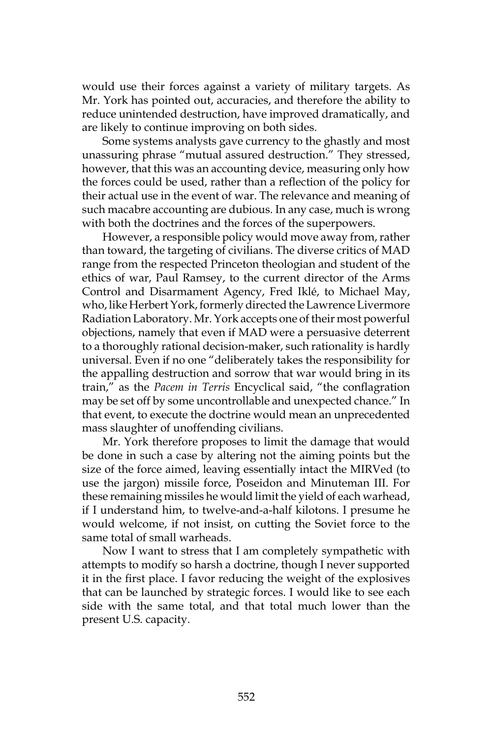would use their forces against a variety of military targets. As Mr. York has pointed out, accuracies, and therefore the ability to reduce unintended destruction, have improved dramatically, and are likely to continue improving on both sides.

Some systems analysts gave currency to the ghastly and most unassuring phrase "mutual assured destruction." They stressed, however, that this was an accounting device, measuring only how the forces could be used, rather than a reflection of the policy for their actual use in the event of war. The relevance and meaning of such macabre accounting are dubious. In any case, much is wrong with both the doctrines and the forces of the superpowers.

However, a responsible policy would move away from, rather than toward, the targeting of civilians. The diverse critics of MAD range from the respected Princeton theologian and student of the ethics of war, Paul Ramsey, to the current director of the Arms Control and Disarmament Agency, Fred Iklé, to Michael May, who, like Herbert York, formerly directed the Lawrence Livermore Radiation Laboratory. Mr. York accepts one of their most powerful objections, namely that even if MAD were a persuasive deterrent to a thoroughly rational decision-maker, such rationality is hardly universal. Even if no one "deliberately takes the responsibility for the appalling destruction and sorrow that war would bring in its train," as the *Pacem in Terris* Encyclical said, "the conflagration may be set off by some uncontrollable and unexpected chance." In that event, to execute the doctrine would mean an unprecedented mass slaughter of unoffending civilians.

Mr. York therefore proposes to limit the damage that would be done in such a case by altering not the aiming points but the size of the force aimed, leaving essentially intact the MIRVed (to use the jargon) missile force, Poseidon and Minuteman III. For these remaining missiles he would limit the yield of each warhead, if I understand him, to twelve-and-a-half kilotons. I presume he would welcome, if not insist, on cutting the Soviet force to the same total of small warheads.

Now I want to stress that I am completely sympathetic with attempts to modify so harsh a doctrine, though I never supported it in the first place. I favor reducing the weight of the explosives that can be launched by strategic forces. I would like to see each side with the same total, and that total much lower than the present U.S. capacity.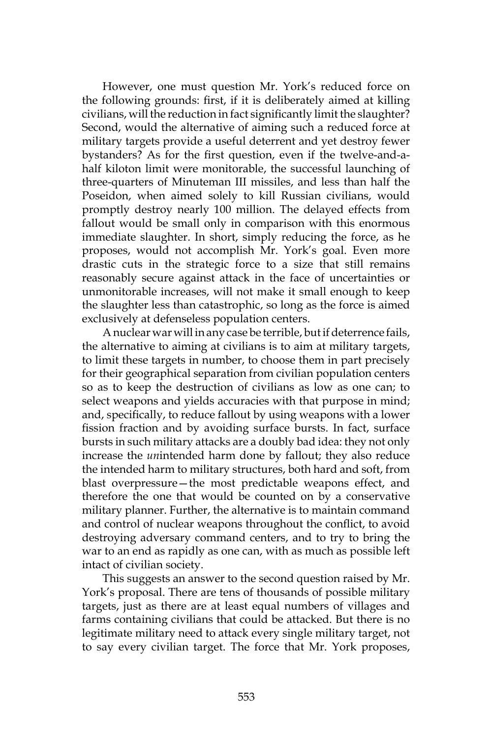However, one must question Mr. York's reduced force on the following grounds: first, if it is deliberately aimed at killing civilians, will the reduction in fact significantly limit the slaughter? Second, would the alternative of aiming such a reduced force at military targets provide a useful deterrent and yet destroy fewer bystanders? As for the first question, even if the twelve-and-ahalf kiloton limit were monitorable, the successful launching of three-quarters of Minuteman III missiles, and less than half the Poseidon, when aimed solely to kill Russian civilians, would promptly destroy nearly 100 million. The delayed effects from fallout would be small only in comparison with this enormous immediate slaughter. In short, simply reducing the force, as he proposes, would not accomplish Mr. York's goal. Even more drastic cuts in the strategic force to a size that still remains reasonably secure against attack in the face of uncertainties or unmonitorable increases, will not make it small enough to keep the slaughter less than catastrophic, so long as the force is aimed exclusively at defenseless population centers.

A nuclear war will in any case be terrible, but if deterrence fails, the alternative to aiming at civilians is to aim at military targets, to limit these targets in number, to choose them in part precisely for their geographical separation from civilian population centers so as to keep the destruction of civilians as low as one can; to select weapons and yields accuracies with that purpose in mind; and, specifically, to reduce fallout by using weapons with a lower fission fraction and by avoiding surface bursts. In fact, surface bursts in such military attacks are a doubly bad idea: they not only increase the *un*intended harm done by fallout; they also reduce the intended harm to military structures, both hard and soft, from blast overpressure—the most predictable weapons effect, and therefore the one that would be counted on by a conservative military planner. Further, the alternative is to maintain command and control of nuclear weapons throughout the conflict, to avoid destroying adversary command centers, and to try to bring the war to an end as rapidly as one can, with as much as possible left intact of civilian society.

This suggests an answer to the second question raised by Mr. York's proposal. There are tens of thousands of possible military targets, just as there are at least equal numbers of villages and farms containing civilians that could be attacked. But there is no legitimate military need to attack every single military target, not to say every civilian target. The force that Mr. York proposes,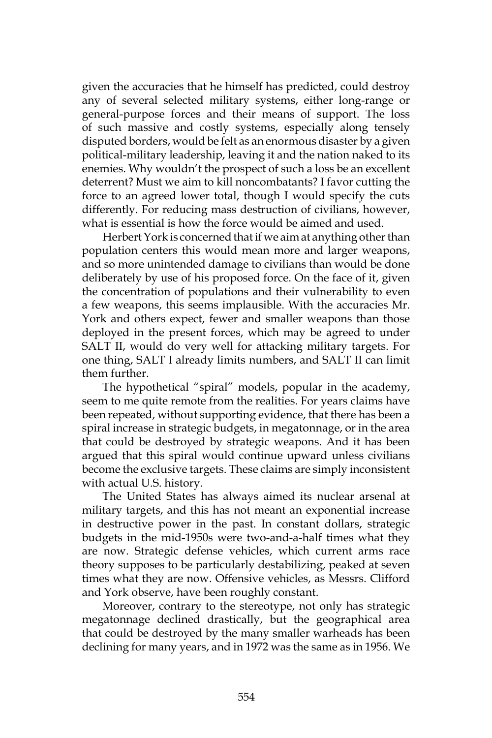given the accuracies that he himself has predicted, could destroy any of several selected military systems, either long-range or general-purpose forces and their means of support. The loss of such massive and costly systems, especially along tensely disputed borders, would be felt as an enormous disaster by a given political-military leadership, leaving it and the nation naked to its enemies. Why wouldn't the prospect of such a loss be an excellent deterrent? Must we aim to kill noncombatants? I favor cutting the force to an agreed lower total, though I would specify the cuts differently. For reducing mass destruction of civilians, however, what is essential is how the force would be aimed and used.

Herbert York is concerned that if we aim at anything other than population centers this would mean more and larger weapons, and so more unintended damage to civilians than would be done deliberately by use of his proposed force. On the face of it, given the concentration of populations and their vulnerability to even a few weapons, this seems implausible. With the accuracies Mr. York and others expect, fewer and smaller weapons than those deployed in the present forces, which may be agreed to under SALT II, would do very well for attacking military targets. For one thing, SALT I already limits numbers, and SALT II can limit them further.

The hypothetical "spiral" models, popular in the academy, seem to me quite remote from the realities. For years claims have been repeated, without supporting evidence, that there has been a spiral increase in strategic budgets, in megatonnage, or in the area that could be destroyed by strategic weapons. And it has been argued that this spiral would continue upward unless civilians become the exclusive targets. These claims are simply inconsistent with actual U.S. history.

The United States has always aimed its nuclear arsenal at military targets, and this has not meant an exponential increase in destructive power in the past. In constant dollars, strategic budgets in the mid-1950s were two-and-a-half times what they are now. Strategic defense vehicles, which current arms race theory supposes to be particularly destabilizing, peaked at seven times what they are now. Offensive vehicles, as Messrs. Clifford and York observe, have been roughly constant.

Moreover, contrary to the stereotype, not only has strategic megatonnage declined drastically, but the geographical area that could be destroyed by the many smaller warheads has been declining for many years, and in 1972 was the same as in 1956. We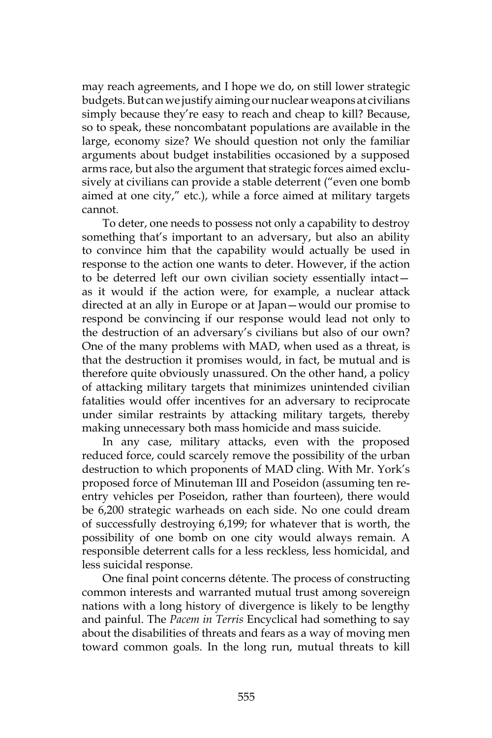may reach agreements, and I hope we do, on still lower strategic budgets. But can we justify aiming our nuclear weapons at civilians simply because they're easy to reach and cheap to kill? Because, so to speak, these noncombatant populations are available in the large, economy size? We should question not only the familiar arguments about budget instabilities occasioned by a supposed arms race, but also the argument that strategic forces aimed exclusively at civilians can provide a stable deterrent ("even one bomb aimed at one city," etc.), while a force aimed at military targets cannot.

To deter, one needs to possess not only a capability to destroy something that's important to an adversary, but also an ability to convince him that the capability would actually be used in response to the action one wants to deter. However, if the action to be deterred left our own civilian society essentially intact as it would if the action were, for example, a nuclear attack directed at an ally in Europe or at Japan—would our promise to respond be convincing if our response would lead not only to the destruction of an adversary's civilians but also of our own? One of the many problems with MAD, when used as a threat, is that the destruction it promises would, in fact, be mutual and is therefore quite obviously unassured. On the other hand, a policy of attacking military targets that minimizes unintended civilian fatalities would offer incentives for an adversary to reciprocate under similar restraints by attacking military targets, thereby making unnecessary both mass homicide and mass suicide.

In any case, military attacks, even with the proposed reduced force, could scarcely remove the possibility of the urban destruction to which proponents of MAD cling. With Mr. York's proposed force of Minuteman III and Poseidon (assuming ten reentry vehicles per Poseidon, rather than fourteen), there would be 6,200 strategic warheads on each side. No one could dream of successfully destroying 6,199; for whatever that is worth, the possibility of one bomb on one city would always remain. A responsible deterrent calls for a less reckless, less homicidal, and less suicidal response.

One final point concerns détente. The process of constructing common interests and warranted mutual trust among sovereign nations with a long history of divergence is likely to be lengthy and painful. The *Pacem in Terris* Encyclical had something to say about the disabilities of threats and fears as a way of moving men toward common goals. In the long run, mutual threats to kill